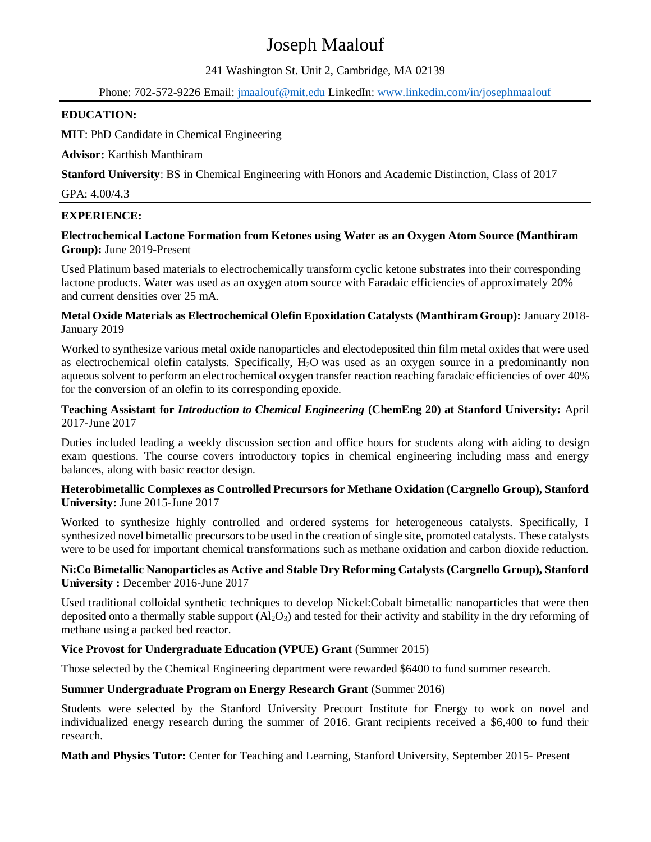# Joseph Maalouf

241 Washington St. Unit 2, Cambridge, MA 02139

Phone: 702-572-9226 Email: jmaalouf@mit.edu LinkedIn: [www.linkedin.com/in/josephmaalouf](http://www.linkedin.com/in/josephmaalouf)

#### **EDUCATION:**

**MIT**: PhD Candidate in Chemical Engineering

**Advisor:** Karthish Manthiram

**Stanford University**: BS in Chemical Engineering with Honors and Academic Distinction, Class of 2017

GPA: 4.00/4.3

### **EXPERIENCE:**

### **Electrochemical Lactone Formation from Ketones using Water as an Oxygen Atom Source (Manthiram Group):** June 2019-Present

Used Platinum based materials to electrochemically transform cyclic ketone substrates into their corresponding lactone products. Water was used as an oxygen atom source with Faradaic efficiencies of approximately 20% and current densities over 25 mA.

#### **Metal Oxide Materials as Electrochemical Olefin Epoxidation Catalysts (Manthiram Group):** January 2018- January 2019

Worked to synthesize various metal oxide nanoparticles and electodeposited thin film metal oxides that were used as electrochemical olefin catalysts. Specifically, H2O was used as an oxygen source in a predominantly non aqueous solvent to perform an electrochemical oxygen transfer reaction reaching faradaic efficiencies of over 40% for the conversion of an olefin to its corresponding epoxide.

#### **Teaching Assistant for** *Introduction to Chemical Engineering* **(ChemEng 20) at Stanford University:** April 2017-June 2017

Duties included leading a weekly discussion section and office hours for students along with aiding to design exam questions. The course covers introductory topics in chemical engineering including mass and energy balances, along with basic reactor design.

#### **Heterobimetallic Complexes as Controlled Precursors for Methane Oxidation (Cargnello Group), Stanford University:** June 2015-June 2017

Worked to synthesize highly controlled and ordered systems for heterogeneous catalysts. Specifically, I synthesized novel bimetallic precursors to be used in the creation of single site, promoted catalysts. These catalysts were to be used for important chemical transformations such as methane oxidation and carbon dioxide reduction.

#### **Ni:Co Bimetallic Nanoparticles as Active and Stable Dry Reforming Catalysts (Cargnello Group), Stanford University :** December 2016-June 2017

Used traditional colloidal synthetic techniques to develop Nickel:Cobalt bimetallic nanoparticles that were then deposited onto a thermally stable support  $(A_1_2O_3)$  and tested for their activity and stability in the dry reforming of methane using a packed bed reactor.

# **Vice Provost for Undergraduate Education (VPUE) Grant** (Summer 2015)

Those selected by the Chemical Engineering department were rewarded \$6400 to fund summer research.

# **Summer Undergraduate Program on Energy Research Grant** (Summer 2016)

Students were selected by the Stanford University Precourt Institute for Energy to work on novel and individualized energy research during the summer of 2016. Grant recipients received a \$6,400 to fund their research.

**Math and Physics Tutor:** Center for Teaching and Learning, Stanford University, September 2015- Present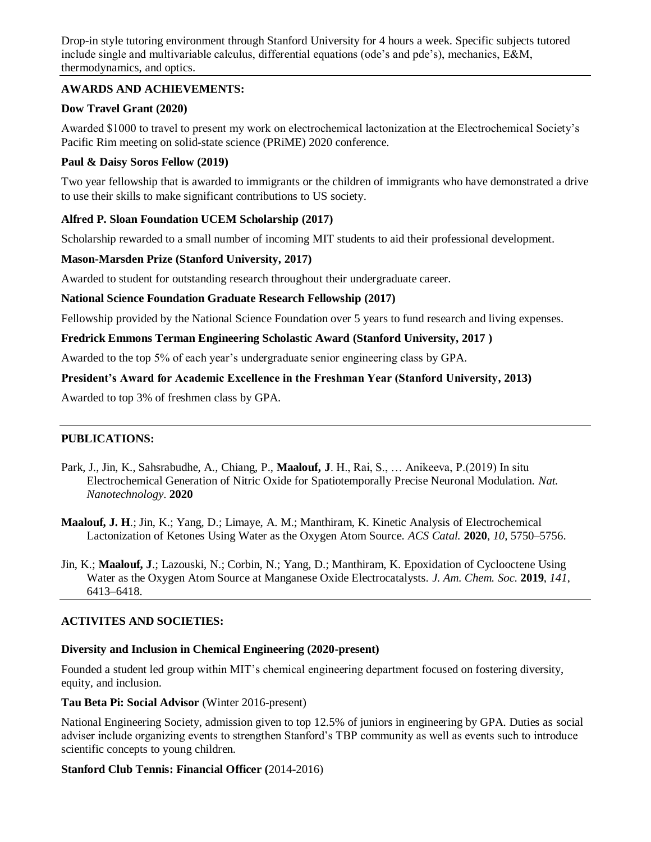Drop-in style tutoring environment through Stanford University for 4 hours a week. Specific subjects tutored include single and multivariable calculus, differential equations (ode's and pde's), mechanics, E&M, thermodynamics, and optics.

# **AWARDS AND ACHIEVEMENTS:**

# **Dow Travel Grant (2020)**

Awarded \$1000 to travel to present my work on electrochemical lactonization at the Electrochemical Society's Pacific Rim meeting on solid-state science (PRiME) 2020 conference.

# **Paul & Daisy Soros Fellow (2019)**

Two year fellowship that is awarded to immigrants or the children of immigrants who have demonstrated a drive to use their skills to make significant contributions to US society.

# **Alfred P. Sloan Foundation UCEM Scholarship (2017)**

Scholarship rewarded to a small number of incoming MIT students to aid their professional development.

# **Mason-Marsden Prize (Stanford University, 2017)**

Awarded to student for outstanding research throughout their undergraduate career.

#### **National Science Foundation Graduate Research Fellowship (2017)**

Fellowship provided by the National Science Foundation over 5 years to fund research and living expenses.

#### **Fredrick Emmons Terman Engineering Scholastic Award (Stanford University, 2017 )**

Awarded to the top 5% of each year's undergraduate senior engineering class by GPA.

# **President's Award for Academic Excellence in the Freshman Year (Stanford University, 2013)**

Awarded to top 3% of freshmen class by GPA.

# **PUBLICATIONS:**

- Park, J., Jin, K., Sahsrabudhe, A., Chiang, P., **Maalouf, J**. H., Rai, S., … Anikeeva, P.(2019) In situ Electrochemical Generation of Nitric Oxide for Spatiotemporally Precise Neuronal Modulation. *Nat. Nanotechnology*. **2020**
- **Maalouf, J. H**.; Jin, K.; Yang, D.; Limaye, A. M.; Manthiram, K. Kinetic Analysis of Electrochemical Lactonization of Ketones Using Water as the Oxygen Atom Source. *ACS Catal.* **2020**, *10*, 5750–5756.
- Jin, K.; **Maalouf, J**.; Lazouski, N.; Corbin, N.; Yang, D.; Manthiram, K. Epoxidation of Cyclooctene Using Water as the Oxygen Atom Source at Manganese Oxide Electrocatalysts. *J. Am. Chem. Soc.* **2019**, *141*, 6413–6418.

# **ACTIVITES AND SOCIETIES:**

#### **Diversity and Inclusion in Chemical Engineering (2020-present)**

Founded a student led group within MIT's chemical engineering department focused on fostering diversity, equity, and inclusion.

#### **Tau Beta Pi: Social Advisor** (Winter 2016-present)

National Engineering Society, admission given to top 12.5% of juniors in engineering by GPA. Duties as social adviser include organizing events to strengthen Stanford's TBP community as well as events such to introduce scientific concepts to young children.

# **Stanford Club Tennis: Financial Officer (**2014-2016)